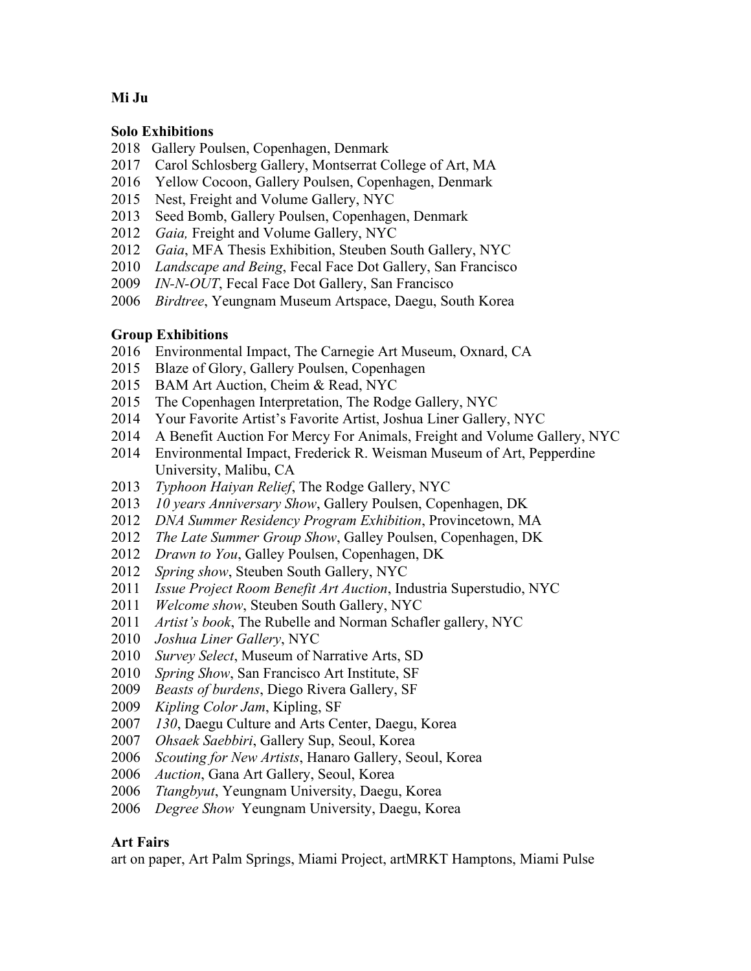# **Mi Ju**

### **Solo Exhibitions**

- 2018 Gallery Poulsen, Copenhagen, Denmark
- 2017 Carol Schlosberg Gallery, Montserrat College of Art, MA
- 2016 Yellow Cocoon, Gallery Poulsen, Copenhagen, Denmark
- 2015 Nest, Freight and Volume Gallery, NYC
- Seed Bomb, Gallery Poulsen, Copenhagen, Denmark
- *Gaia,* Freight and Volume Gallery, NYC
- *Gaia*, MFA Thesis Exhibition, Steuben South Gallery, NYC
- *Landscape and Being*, Fecal Face Dot Gallery, San Francisco
- *IN-N-OUT*, Fecal Face Dot Gallery, San Francisco
- *Birdtree*, Yeungnam Museum Artspace, Daegu, South Korea

# **Group Exhibitions**

- 2016 Environmental Impact, The Carnegie Art Museum, Oxnard, CA
- 2015 Blaze of Glory, Gallery Poulsen, Copenhagen
- 2015 BAM Art Auction, Cheim & Read, NYC
- 2015 The Copenhagen Interpretation, The Rodge Gallery, NYC
- 2014 Your Favorite Artist's Favorite Artist, Joshua Liner Gallery, NYC
- 2014 A Benefit Auction For Mercy For Animals, Freight and Volume Gallery, NYC
- 2014 Environmental Impact, Frederick R. Weisman Museum of Art, Pepperdine University, Malibu, CA
- *Typhoon Haiyan Relief*, The Rodge Gallery, NYC
- *10 years Anniversary Show*, Gallery Poulsen, Copenhagen, DK
- *DNA Summer Residency Program Exhibition*, Provincetown, MA
- *The Late Summer Group Show*, Galley Poulsen, Copenhagen, DK
- *Drawn to You*, Galley Poulsen, Copenhagen, DK
- *Spring show*, Steuben South Gallery, NYC
- *Issue Project Room Benefit Art Auction*, Industria Superstudio, NYC
- *Welcome show*, Steuben South Gallery, NYC
- *Artist's book*, The Rubelle and Norman Schafler gallery, NYC
- *Joshua Liner Gallery*, NYC
- *Survey Select*, Museum of Narrative Arts, SD
- *Spring Show*, San Francisco Art Institute, SF
- *Beasts of burdens*, Diego Rivera Gallery, SF
- *Kipling Color Jam*, Kipling, SF
- *130*, Daegu Culture and Arts Center, Daegu, Korea
- *Ohsaek Saebbiri*, Gallery Sup, Seoul, Korea
- *Scouting for New Artists*, Hanaro Gallery, Seoul, Korea
- *Auction*, Gana Art Gallery, Seoul, Korea
- *Ttangbyut*, Yeungnam University, Daegu, Korea
- *Degree Show* Yeungnam University, Daegu, Korea

# **Art Fairs**

art on paper, Art Palm Springs, Miami Project, artMRKT Hamptons, Miami Pulse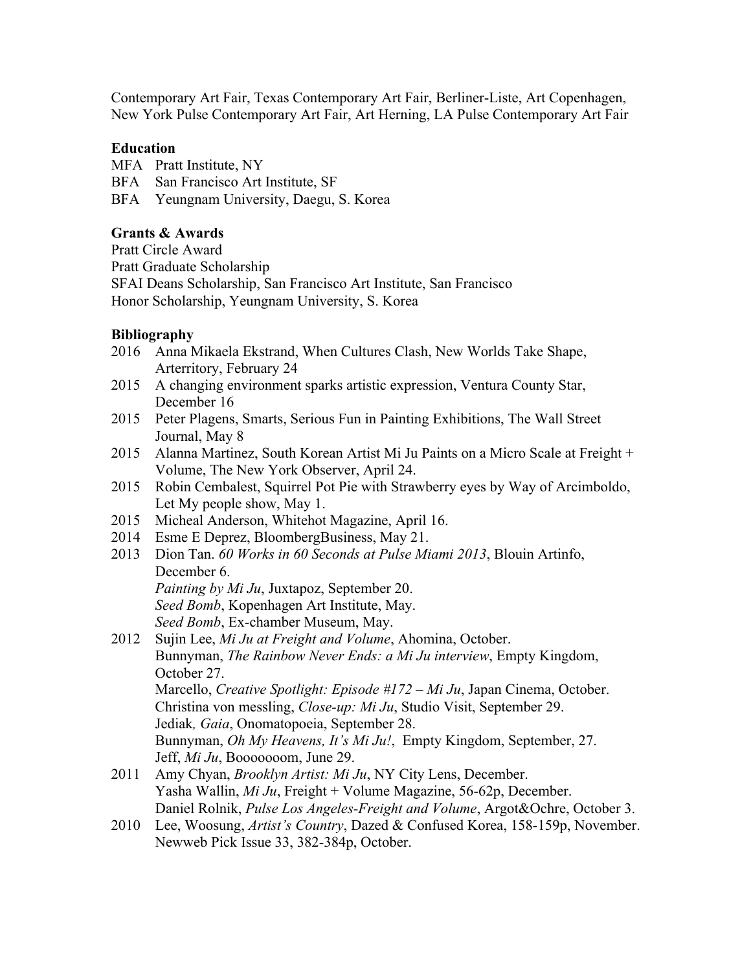Contemporary Art Fair, Texas Contemporary Art Fair, Berliner-Liste, Art Copenhagen, New York Pulse Contemporary Art Fair, Art Herning, LA Pulse Contemporary Art Fair

### **Education**

MFA Pratt Institute, NY

BFA San Francisco Art Institute, SF

BFA Yeungnam University, Daegu, S. Korea

# **Grants & Awards**

Pratt Circle Award Pratt Graduate Scholarship SFAI Deans Scholarship, San Francisco Art Institute, San Francisco Honor Scholarship, Yeungnam University, S. Korea

#### **Bibliography**

- 2016 Anna Mikaela Ekstrand, When Cultures Clash, New Worlds Take Shape, Arterritory, February 24
- 2015 A changing environment sparks artistic expression, Ventura County Star, December 16
- 2015 Peter Plagens, Smarts, Serious Fun in Painting Exhibitions, The Wall Street Journal, May 8
- 2015 Alanna Martinez, South Korean Artist Mi Ju Paints on a Micro Scale at Freight + Volume, The New York Observer, April 24.
- 2015 Robin Cembalest, Squirrel Pot Pie with Strawberry eyes by Way of Arcimboldo, Let My people show, May 1.
- 2015 Micheal Anderson, Whitehot Magazine, April 16.
- 2014 Esme E Deprez, BloombergBusiness, May 21.
- 2013 Dion Tan. *60 Works in 60 Seconds at Pulse Miami 2013*, Blouin Artinfo, December 6.

*Painting by Mi Ju*, Juxtapoz, September 20.

*Seed Bomb*, Kopenhagen Art Institute, May.

*Seed Bomb*, Ex-chamber Museum, May.

- 2012 Sujin Lee, *Mi Ju at Freight and Volume*, Ahomina, October. Bunnyman, *The Rainbow Never Ends: a Mi Ju interview*, Empty Kingdom, October 27. Marcello, *Creative Spotlight: Episode #172 – Mi Ju*, Japan Cinema, October. Christina von messling, *Close-up: Mi Ju*, Studio Visit, September 29. Jediak*, Gaia*, Onomatopoeia, September 28. Bunnyman, *Oh My Heavens, It's Mi Ju!*, Empty Kingdom, September, 27. Jeff, *Mi Ju*, Booooooom, June 29.
- 2011 Amy Chyan, *Brooklyn Artist: Mi Ju*, NY City Lens, December. Yasha Wallin, *Mi Ju*, Freight + Volume Magazine, 56-62p, December. Daniel Rolnik, *Pulse Los Angeles-Freight and Volume*, Argot&Ochre, October 3.
- 2010 Lee, Woosung, *Artist's Country*, Dazed & Confused Korea, 158-159p, November. Newweb Pick Issue 33, 382-384p, October.